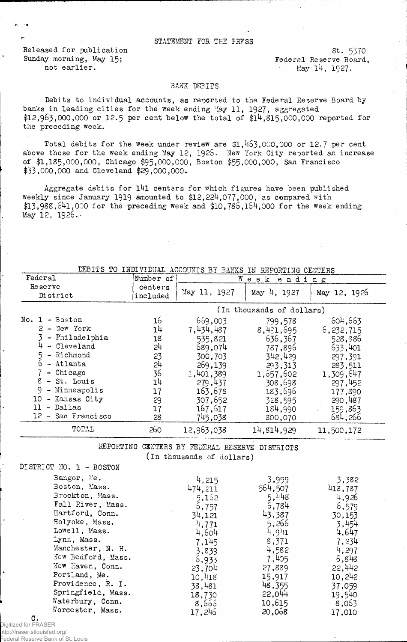## STATEMENT FOR THE PRESS

Released for publication St. 5370 Sunday morning, May 15; The Sunday morning, May 15; Sunday Federal Reserve Board,

not earlier. May  $14$ ,  $1927$ .

## BANK DEBITS

Debits to individual accounts, as reported to the Federal Reserve Board by banks in leading cities for the week ending May 11, 1927, aggregated \$12,963,000,000 or 12.5 per cent below the total of  $$14,815,000,000$  reported for the preceding week.

Total debits for the week under review are  $$1,463,000,000$  or 12.7 per cent above those for the week ending May 12, 1926. New York City reported an increase of \$1,185,000,000, Chicago \$95,000,000, Boston \$55,000,000, San Francisco \$33,000,000 and Cleveland \$29,000,000.

Aggregate debits for l4l centers for which figures have been published weekly since January 1919 amounted to \$12,224,077,000, as compared with  $$13,988,641,000$  for the preceding week and  $$10,786,164,000$  for the week ending May 12, 1926.

|  |  |  |  |  | DEBITS TO INDIVIDUAL ACCOUNTS BY BANKS IN REPORTING CENTERS |  |
|--|--|--|--|--|-------------------------------------------------------------|--|
|  |  |  |  |  |                                                             |  |
|  |  |  |  |  |                                                             |  |

| Federal                                                                                                                                                                                                            | Number of                                                            |                                                                                                                                      | Week<br>ending                                                                                                                         |                                                                                                                                      |  |
|--------------------------------------------------------------------------------------------------------------------------------------------------------------------------------------------------------------------|----------------------------------------------------------------------|--------------------------------------------------------------------------------------------------------------------------------------|----------------------------------------------------------------------------------------------------------------------------------------|--------------------------------------------------------------------------------------------------------------------------------------|--|
| Reserve<br>District                                                                                                                                                                                                | centers<br>included                                                  | May 11, 1927                                                                                                                         | May 4, 1927                                                                                                                            | May 12, 1926                                                                                                                         |  |
|                                                                                                                                                                                                                    | (In thousands of dollars)                                            |                                                                                                                                      |                                                                                                                                        |                                                                                                                                      |  |
| $No. 1 - Boston$<br>$2 -$ New York<br>- Philadelphia<br>- Cleveland<br>- Richmond<br>- Atlanta<br>- Chicago<br>8<br>- St. Louis<br>9.<br>- Minneapolis<br>10 - Kansas City<br>- Dallas<br>11<br>12 - San Francisco | 16<br>14<br>18<br>54<br>23<br>54<br>36<br>14<br>17<br>29<br>17<br>28 | 659,003<br>7,434,487<br>535,821<br>689,074<br>300,703<br>269,139<br>1,401,389<br>279,437<br>163,678<br>307,652<br>167,617<br>745,038 | 799,578<br>8,401,695<br>636,367<br>787,896<br>342,429<br>293,313<br>1, 657, 602<br>308,698<br>183,696<br>328,595<br>184,990<br>800,070 | 604,663<br>6,232,715<br>528,386<br>633,401<br>297,391<br>283,511<br>1,309,647<br>297,452<br>177,390<br>290,487<br>159,863<br>684,266 |  |
| TOTAL                                                                                                                                                                                                              | 260                                                                  | 12,963,038                                                                                                                           | 14,814,929                                                                                                                             | 11,500,172                                                                                                                           |  |

REPORTING CENTERS BY FEDERAL RESERVE DISTRICTS (in thousands of dollars)

| DISTRICT NO. 1 - BOSTON                                |                           |                          |                          |
|--------------------------------------------------------|---------------------------|--------------------------|--------------------------|
| Bangor, Me.<br>Boston, Mass.<br>Brockton, Mass.        | 4,215<br>474,211          | 3,999<br>564,507         | 3,382<br>413,787         |
| Fall River, Mass.<br>Hartford, Conn.                   | 5,152<br>5,757<br>34,121  | 5,448<br>6,784<br>43,387 | 4,926<br>6,579<br>30,153 |
| Holyoke, Mass.<br>Lowell, Mass.                        | 4,771<br>4,604            | 5,266<br>4,941           | 3,454<br>4,647           |
| Lynn, Mass.<br>Manchester, N. H.<br>New Bedford, Mass. | 7,145<br>3,839            | 8,371<br>4,582<br>7,405  | 7,234<br>4,297<br>6,848  |
| New Haven, Conn.<br>Portland, Me.                      | 6,933<br>23,704<br>10,418 | 27,889<br>15,917         | 22,442<br>10,242         |
| Providence, R. I.<br>Springfield, Mass.                | 38,481<br>18,730          | 48,355<br>22,044         | 37,059<br>19,540         |
| Waterbury, Conn.<br>Worcester, Mass.                   | 8,665<br>17,246           | 10,615<br>20,058         | 8,063<br>17,010          |

C. Digitized for FRASER

http://fraser.stlouisfed.org/ Federal Reserve Bank of St. Louis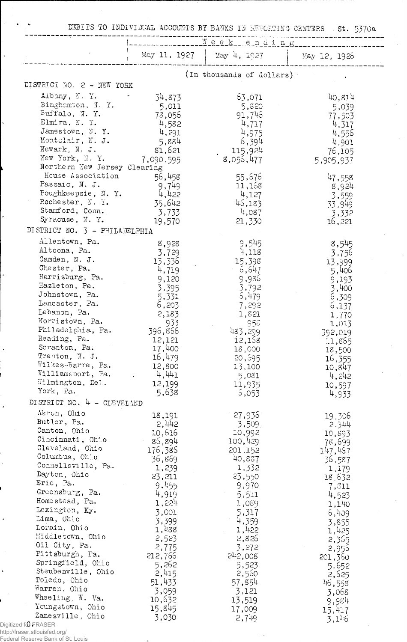DEBITS TO INDIVIDUAL ACCOUNTS BY BANKS IN REPORTING CENTERS St. 5370a

|                                                   | May 11, 1927    | May 4, 1927               | May 12, 1926    |
|---------------------------------------------------|-----------------|---------------------------|-----------------|
|                                                   |                 | (In thousands of dollars) |                 |
| DISTRICT NO. 2 - NEW YORK                         |                 |                           |                 |
| Albany, N.Y.                                      | 34,873          | 63,071                    | 40,814          |
| Binghamton, N.Y.                                  | 5,011           | 5,820                     | 5,039           |
| Buffalo, $N. Y.$                                  | 78,056          | 91,745                    | 77,503          |
| Elmira, N. Y.                                     | 4,582           | 4,717                     | 4,317           |
| Jamestown, N.Y.                                   | 4,291           | 4,975                     | 4,556           |
| Montclair, N. J.                                  | 5,884           | 6,394                     | 4,901           |
| Newark, N. J.                                     | 81,621          | 115,924                   | 76,105          |
| New York, N.Y.                                    | 7,090,595       | 8,055,477                 | 5,905,937       |
| Northern New Jersey Clearing<br>House Association |                 | 55,676                    |                 |
| Passaic, N. J.                                    | 56,458<br>9,749 | 11,168                    | 47,558<br>8,924 |
| Poughkeepsie, N.Y.                                | 4,422           | 4,127                     | 3,559           |
| Rochester, N. Y.                                  | 35,642          | 45,183                    | 33,949          |
| Stamford, Conn.                                   | 3,733           | 4,087                     | 3,332           |
| Syracuse, N.Y.                                    | 19,570          | 21,330                    | 16,221          |
| DISTRICT NO. 3 - PHILADELPHIA                     |                 |                           |                 |
| Allentown, Pa.                                    | 8,928           | 9,545                     | 8,545           |
| Altoona, Pa.                                      | 3,729           | 4,118                     | 3,756           |
| Camden, N. J.                                     | 13,336          | 15,398                    | 13,999          |
| Chester, Pa.                                      | 4,719           | 6,647                     | 5,406           |
| Harrisburg, Pa.<br>Hazleton, Pa.                  | 9,120           | 9,986                     | 9,193           |
| Johnstown, Pa.                                    | 3.395           | 3,792                     | 3,400           |
| Lancaster, Pa.                                    | 5,331           | 5,479                     | 6,309           |
| Lebanon, Pa.                                      | 6,203<br>2,183  | 7,292<br>1,821            | 6,137           |
| Norristown, Pa.                                   | 933             | 958                       | 1,70<br>1,013   |
| Philadelphia, Pa.                                 | 396,866         | 483,299                   | 392,019         |
| Reading, Pa.                                      | 12,121          | 12,158                    | 11,865          |
| Scranton, Pa.                                     | 17,400          | 18,000                    | 18,500          |
| Trenton, N. J.                                    | 16,479          | 20,695                    | 16,355          |
| Wilkes-Barre, Pa.<br>Williamsoort, Pa.            | 12,800          | 13,100                    | 10,847          |
| Wilmington, Del.                                  | 4,441<br>12,199 | 5,081                     | 4,242           |
| York, Pa.                                         | 5,638           | 11,935<br>5,053           | 10,597<br>4,933 |
| DISTRICT NO. 4 - CLEVELAND                        |                 |                           |                 |
| Akron, Ohio                                       |                 | 27,936                    |                 |
| Butler, Pa.                                       | 18,191<br>2,442 | 3,509                     | 19.306<br>2.344 |
| Canton, Ohio                                      | 10,616          | 10,992                    | 10,893          |
| Cincinnati, Ohio                                  | 86,894          | 100,429                   | 78,699          |
| Cleveland, Ohio                                   | 176,386         | 201,152                   | 147,467         |
| Columbus, Chio                                    | 36,869          | 40,887                    | 36,587          |
| Connellsville, Pa.<br>Dayton, Ohio                | 1,239           | 1,332                     | 1,179           |
| Erie, Pa.                                         | 23,211          | 23,550                    | 18,632          |
| Greensburg, Pa.                                   | 9,455<br>4,919  | 9,970                     | 7,811           |
| Homestead, Pa.                                    | 1,224           | 5,511<br>1,089            | 4,523<br>1,140  |
| Lexington, Ky.                                    | 3,001           | 5,317                     | 6,409           |
| Lima, Ohio                                        | 3,399           | 4,359                     | 3,855           |
| Lorain, Ohio                                      | 1,488           | 1,422                     | 1,425           |
| Middletown, Ohio                                  | 2,523           | 2,826                     | 2,365           |
| Oil City, Pa.                                     | 2,775           | 3,272                     | 2,956           |
| Pittsburgh, Pa.<br>Springfield, Ohio              | 212,766         | 242,008                   | 201,360         |
| Steubenville, Ohio                                | 5,262           | 5,523                     | 5,652           |
| Toledo, Ohio                                      | 2,415           | 2,560                     | 2,625           |
| Warren, Ohio                                      | 51,433<br>3,059 | 57,854<br>3,121           | 46,558          |
| Wheeling, W. Va.                                  | 10,632          | 13,519                    | 3,068<br>9,984  |
| Youngstown, Ohio                                  | 15,845          | 17,009                    | 15,417          |
| Zanesville, Ohio                                  | 3,030           | $2,71$ <sub>19</sub>      | 3,146           |

 $\mathbb{R}^n$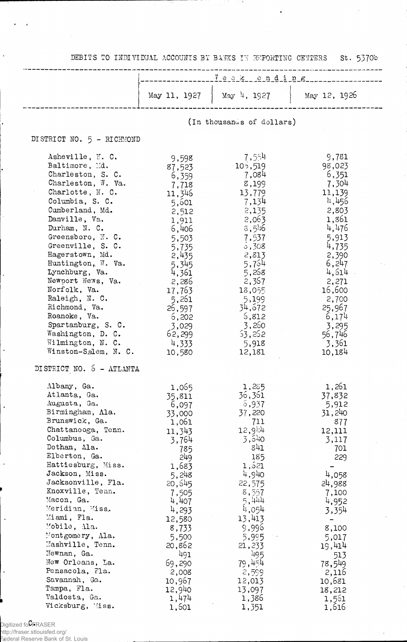DEBITS TO INDIVIDUAL ACCOUNTS BY BANKS IN ENPORTING CENTERS St. 5370b

 $\ddot{\phantom{a}}$ 

|                                                                                                                                                                                                                                                                                                                                                                                                                                                                                        |                                                                                                                                                                                                                                  |                                                                                                                                                                                                                                | $\frac{1}{2}$ $\frac{1}{2}$ $\frac{1}{2}$ $\frac{1}{2}$ $\frac{1}{2}$ $\frac{1}{2}$ $\frac{1}{2}$ $\frac{1}{2}$ $\frac{1}{2}$ $\frac{1}{2}$ $\frac{1}{2}$ $\frac{1}{2}$ $\frac{1}{2}$ $\frac{1}{2}$ $\frac{1}{2}$ $\frac{1}{2}$ $\frac{1}{2}$ $\frac{1}{2}$ $\frac{1}{2}$ $\frac{1}{2}$ $\frac{1}{2}$ $\frac{1}{2}$ |
|----------------------------------------------------------------------------------------------------------------------------------------------------------------------------------------------------------------------------------------------------------------------------------------------------------------------------------------------------------------------------------------------------------------------------------------------------------------------------------------|----------------------------------------------------------------------------------------------------------------------------------------------------------------------------------------------------------------------------------|--------------------------------------------------------------------------------------------------------------------------------------------------------------------------------------------------------------------------------|---------------------------------------------------------------------------------------------------------------------------------------------------------------------------------------------------------------------------------------------------------------------------------------------------------------------|
|                                                                                                                                                                                                                                                                                                                                                                                                                                                                                        |                                                                                                                                                                                                                                  | May 11, 1927 $\Big $ May 4, 1927                                                                                                                                                                                               | $\frac{1}{2}$ May 12, 1926                                                                                                                                                                                                                                                                                          |
|                                                                                                                                                                                                                                                                                                                                                                                                                                                                                        |                                                                                                                                                                                                                                  | (In thousands of dollars)                                                                                                                                                                                                      |                                                                                                                                                                                                                                                                                                                     |
| DISTRICT NO. 5 - RICHMOND                                                                                                                                                                                                                                                                                                                                                                                                                                                              |                                                                                                                                                                                                                                  |                                                                                                                                                                                                                                |                                                                                                                                                                                                                                                                                                                     |
| Asheville, N. C.<br>Baltimore, Md.<br>Charleston, S. C.<br>Charleston, $W$ . Va.<br>Charlotte, N. C.<br>Columbia, S. C.<br>Cumberland, Md.<br>Danville, Va.<br>Durham, N. C.<br>Greensboro, N.C.<br>Greenville, S. C.<br>Hagerstown, Md.<br>Huntington, W. Va.<br>Lynchburg, Va.<br>Newport News, Va.<br>Norfolk, Va.<br>Raleigh, N. C.<br>Richmond, Va.<br>Roanoke, Va.<br>Spartanburg, S. C.<br>Washington, D. C.<br>Wilmington, N. C.<br>Winston-Salem, N. C.                       | 9,598<br>87,523<br>6,359<br>7,718<br>11,346<br>5,601<br>2,512<br>1,911<br>6,406<br>5,503<br>5,735<br>2,435<br>5,345<br>4,361<br>2,286<br>17,763<br>5,261<br>26,597<br>6,202<br>3,029<br>62,299<br>4,333<br>10,580                | 7,554<br>10,519<br>7,084<br>8,199<br>13,779<br>7,134<br>2,135<br>2,063<br>$8,5\%$<br>7,537<br>5,308<br>2,813<br>5,754<br>5,258<br>2,367<br>18,055<br>5,199<br>34,672<br>6,812<br>3,260<br>53,262<br>5,918<br>12,181            | 9,781<br>98,023<br>6,351<br>7,304<br>11,139<br>4,456<br>2,803<br>1,861<br>4,476<br>5,913<br>4,735<br>2,390<br>6,247<br>4,514<br>2,271<br>16,600<br>2,700<br>25,967<br>6,174<br>3,295<br>56,746<br>3,361<br>10,184                                                                                                   |
| DISTRICT NO. 5 - ATLANTA<br>Albany, Ga.<br>Atlanta, Ga.<br>Augusta, Ga.<br>Birmingham, Ala.<br>Brunswick, Ga.<br>Chattanooga, Tenn.<br>Columbus, Ga.<br>Dothan, Ala.<br>Elberton, Ga.<br>Hattiesburg, Miss.<br>Jackson, Miss.<br>Jacksonville, Fla.<br>Knoxville, Tenn.<br>Macon, Ga.<br>Meridian, Miss.<br>Miami, Fla.<br>Mobile, Ala.<br>Montgomery, Ala.<br>Mashville, Tenn.<br>Newnan, Ga.<br>New Orleans, La.<br>Pensacola, Fla.<br>Savannah, Ga.<br>Tampa, Fla.<br>Valdosta, Ga. | 1,065<br>35,811<br>6,097<br>33,000<br>1,061<br>11,343<br>3,764<br>785<br>249<br>1,683<br>5,248<br>20,645<br>7,505<br>4,407<br>4,293<br>12,580<br>8,733<br>5,500<br>20,862<br>491<br>69,290<br>2,008<br>10,967<br>12,940<br>1,474 | 1,285<br>36,361<br>5,937<br>37,220<br>711<br>12,944<br>3,540<br>841<br>185<br>1,521<br>4,940<br>22,575<br>8,557<br>5,444<br>4,054<br>13,413<br>9,996<br>5,995<br>21,233<br>495<br>79,454<br>2,599<br>12,013<br>13,097<br>1,386 | 1,261<br>37,832<br>5,912<br>31,240<br>877<br>12,111<br>3,117<br>701<br>229<br>4,058<br>24,988<br>7,100<br>4,952<br>3,354<br>8,100<br>5,017<br>19,414<br>513<br>78,549<br>2,116<br>10,681<br>18,212<br>1,561                                                                                                         |

1,601 1,351 1,616

Digitized fo $\mathsf{C_F}$ RASER

 $\cdot$ 

 $\ddot{\phantom{1}}$ 

 $\ddot{\phantom{1}}$ 

http://fraser.stlouisfed.org/ Federal Reserve Bank of St. Louis

Vicksburg, Miss.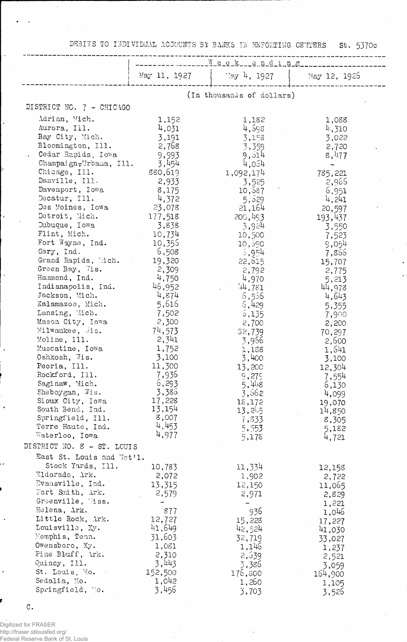DEBITS TO INDIVIDUAL ACCOUNTS BY BANKS IN REPORTING CENTERS St. 5370c

|                                    | ____Week__ending_________ |                           |                |  |  |
|------------------------------------|---------------------------|---------------------------|----------------|--|--|
|                                    | May 11, 1927              | $15xy$ 4, 1927            | May 12, 1926   |  |  |
|                                    |                           |                           |                |  |  |
|                                    |                           | (In thousands of dollars) |                |  |  |
| DISTRICT NO. 7 - CHICAGO           |                           |                           |                |  |  |
| Adrian, Mich.                      | 1,152                     | 1,182                     | 1,088          |  |  |
| Aurora, Ill.                       | 4,031                     | 4,598                     | $\mu$ , 310    |  |  |
| Bay City, Mich.                    | 3,191                     | 3,153                     | 3,022          |  |  |
| Bloomington, Ill.                  | 2,768                     | 3,359                     | 2,720          |  |  |
| Cedar Rapids, Iowa                 | 9,993                     | 9,514                     | 8,477          |  |  |
| Champaign, Urbana, Ill.            | 3,454                     | 4,054                     |                |  |  |
| Chicago, Ill.                      | 880,619                   | 1,092,174                 | 785,221        |  |  |
| Danville, Ill.                     | 2,933                     | 3,525                     | 2,966          |  |  |
| Davenport, Iowa                    | 8,175                     | 10,587                    | 6,951          |  |  |
| Decatur, Ill.                      | 4,372                     | 5,529                     | 4,241          |  |  |
| Des Moines, Iowa                   | 23,078                    | 21,164                    | 20,597         |  |  |
| Detroit, Mich.                     | 177,518                   | 200,493                   | 193,437        |  |  |
| Dubuque, Iowa                      | 3,838                     | 3,924                     | 3,550          |  |  |
| Flint, Mich.                       | 10,734                    | 10,500                    | 7,523          |  |  |
| Fort Wayne, Ind.                   | 10,355                    | 10,590                    | 9,054          |  |  |
| Gary, Ind.                         | 6,508                     | $-5,954$                  | 7,866          |  |  |
| Grand Rapids, Mich.                | 19,320                    | 22,615                    | 15,707         |  |  |
| Green Bay, 7is.                    | 2,309                     | 2,792                     | 2,775          |  |  |
| Hammond, Ind.                      | 4,750                     | 4,970                     | 5,213          |  |  |
| Indianapolis, Ind.                 | 46,952                    | 44,781                    | 44,978         |  |  |
| Jackson, Mich.                     | 4,874                     | 6,556                     | 4,643          |  |  |
| Kalamazoo, Mich.                   | 5,616                     | 6,429                     | 5,355          |  |  |
| Lansing, Mich.<br>Mason City, Iowa | 7,502                     | 5,135                     | 7,900          |  |  |
| Milwaukee, Jis.                    | 2,300<br>74,573           | 2,700                     | 2,200          |  |  |
| Moline, Ill.                       | 2,341                     | \$2,739                   | 70,297         |  |  |
| Muscatine, Iowa                    | 1,752                     | 3,956                     | 2,600          |  |  |
| Oshkosh, Wis.                      | 3,100                     | 1,138<br>3,400            | 1,641<br>3,100 |  |  |
| Peoria, Ill.                       | 11,300                    | 13,200                    | 12,304         |  |  |
| Rockford, Ill.                     | 7,936                     | 9,279                     | 7,554          |  |  |
| Saginaw, Mich.                     | 6,293                     | 5,448                     | 6,130          |  |  |
| Sheboygan, Wis.                    | 3,386                     | 3,562                     | 4,099          |  |  |
| Sioux City, Iowa                   | 17,228                    | 18,172                    | 19,070         |  |  |
| South Bend, Ind.                   | 13,154                    | 13,245                    | 14,850         |  |  |
| Springfield, Ill.                  | 8,007                     | 7,833                     | 8,305          |  |  |
| Terre Haute, Ind.                  | 4,453                     | 5,553                     | 5,182          |  |  |
| Waterloo, Iowa                     | 4,977                     | 5,178                     | 4,721          |  |  |
| DISTRICT NO. 8 - ST. LOUIS         |                           |                           |                |  |  |
| East St. Louis and Nat'l.          |                           |                           |                |  |  |
| Stock Yards, Ill.                  | 10,783                    | 11,334                    | 12,158         |  |  |
| Eldorado, Ark.                     | 2,072                     | 1,902                     | 2,722          |  |  |
| Evansville, Ind.                   | 13,315                    | 12,150                    | 11,065         |  |  |
| Fort Smith, Ark.                   | 2,579                     | 2,971                     | 2,829          |  |  |
| Greenville, liss.                  |                           |                           | 1,221          |  |  |
| Helena, Ark.                       | 877                       | 936                       | 1,046          |  |  |
| Little Rock, Ark.                  | 12,727                    | 15,228                    | 17,227         |  |  |
| Louisville, Ky.                    | 41,649                    | 42,524                    | 41,030         |  |  |
| Memphis, Tenn.                     | 31,603                    | 32,719                    | 33,027         |  |  |
| Owensboro, Ky.                     | 1,081                     | 1,146                     | 1,237          |  |  |
| Pine Bluff, \rk.                   | 2,310                     | 2,539                     | 2,521          |  |  |
| Quincy, Ill.                       | 3,443                     | 3,386                     | 3,059          |  |  |
| St. Louis, Mo.<br>Sedalia, Mo.     | 152,500<br>1,042          | 176,300                   | 164,900        |  |  |
| Springfield, Mo.                   | 3,456                     | 1,260                     | 1,105          |  |  |
|                                    |                           | 3,703                     | 3,526          |  |  |

 $\mathtt{C}$  .

Digitized for FRASER http://fraser.stlouisfed.org/ Federal Reserve Bank of St. Louis

J.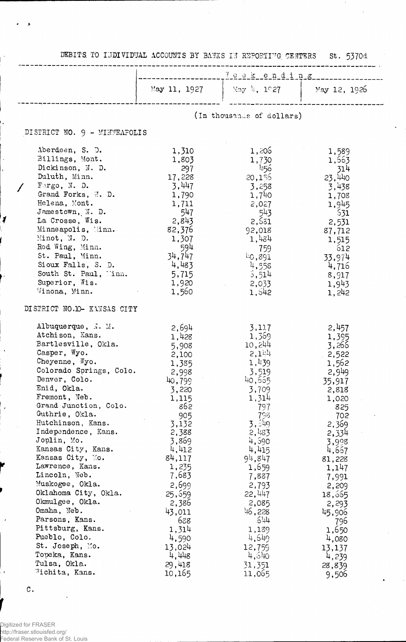|                                                                                                                                                                                                                                                                                                                                                                                                                                                                                                                                                                                         |                                                                                                                                                                                                                                                                    | DEBITS TO INDIVIDUAL ACCOUNTS BY BANKS IN REPORTING CENTERS St. 5370d                                                                                                                                                                                             |                                                                                                                                                                                                                                                                   |  |  |
|-----------------------------------------------------------------------------------------------------------------------------------------------------------------------------------------------------------------------------------------------------------------------------------------------------------------------------------------------------------------------------------------------------------------------------------------------------------------------------------------------------------------------------------------------------------------------------------------|--------------------------------------------------------------------------------------------------------------------------------------------------------------------------------------------------------------------------------------------------------------------|-------------------------------------------------------------------------------------------------------------------------------------------------------------------------------------------------------------------------------------------------------------------|-------------------------------------------------------------------------------------------------------------------------------------------------------------------------------------------------------------------------------------------------------------------|--|--|
|                                                                                                                                                                                                                                                                                                                                                                                                                                                                                                                                                                                         |                                                                                                                                                                                                                                                                    |                                                                                                                                                                                                                                                                   |                                                                                                                                                                                                                                                                   |  |  |
|                                                                                                                                                                                                                                                                                                                                                                                                                                                                                                                                                                                         | May 11, 1927                                                                                                                                                                                                                                                       | $\frac{1}{2}$ May 4, 1027 $\frac{1}{2}$ May 12, 1926                                                                                                                                                                                                              |                                                                                                                                                                                                                                                                   |  |  |
|                                                                                                                                                                                                                                                                                                                                                                                                                                                                                                                                                                                         |                                                                                                                                                                                                                                                                    | (In thousands of dollars)                                                                                                                                                                                                                                         |                                                                                                                                                                                                                                                                   |  |  |
| DISTRICT NO. 9 - MINNEAPOLIS                                                                                                                                                                                                                                                                                                                                                                                                                                                                                                                                                            |                                                                                                                                                                                                                                                                    |                                                                                                                                                                                                                                                                   |                                                                                                                                                                                                                                                                   |  |  |
| Aberdeen, S. D.<br>Billings, Mont.<br>Dickinson, N. D.<br>Duluth, Minn.<br>$F\text{argo}$ , N. D.<br>Grand Forks, J. D.<br>Helena, Mont.<br>Jamestown, N. D.<br>La Crosse, Wis.<br>Minneapolis, Minn.<br>Minot, N. D.<br>Red Wing, Minn.<br>St. Paul, Minn.<br>Sioux Falls, S. D.<br>South St. Paul, Minn.<br>Superior, Wis.                                                                                                                                                                                                                                                            | 1,310<br>1,803<br>297<br>17,228<br>3,447<br>1,790<br>1,711<br>547<br>2,843<br>82,376<br>1,307<br>- 594<br>34,747<br>4,483<br>5,715<br>1,920                                                                                                                        | 1,205<br>1,730<br><sup>પ્રા</sup> 56<br>20,156<br>3,258<br>1,740<br>2,027<br>543<br>2,531<br>92,018<br>1,484<br>759<br>40,891<br>4,558<br>5,514<br>2,033                                                                                                          | 1,589<br>1,563<br>314<br>23,440<br>3,438<br>1,708<br>1,945<br>- 531<br>2,531<br>87,712<br>1,515<br>612<br>33,974<br>4,716<br>8,917<br>1,943                                                                                                                       |  |  |
| Winona, Minn.<br>DISTRICT NO. 10- KANSAS CITY                                                                                                                                                                                                                                                                                                                                                                                                                                                                                                                                           | 1,560                                                                                                                                                                                                                                                              | 1,642                                                                                                                                                                                                                                                             | 1,242                                                                                                                                                                                                                                                             |  |  |
| Albuquerque, $\mathbb{N}$ . M.<br>Atchison, Kans.<br>Bartlesville, Okla.<br>Casper, Wyo.<br>Cheyenne, $Wy0$ .<br>Colorado Springs, Colo.<br>Denver, Colo.<br>Enid, Okla.<br>Fremont, Neb.<br>Grand Junction, Colo.<br>Guthrie, Okla.<br>Hutchinson, Kans.<br>Independence, Kans.<br>Joplin, Mo.<br>Kansas City, Kans.<br>Kansas City, Mo.<br>Lawrence, Kans.<br>Lincoln, Neb.<br>Muskogee, Okla.<br>Oklahoma City, Okla.<br>Okmulgee, Okla.<br>Omaha, Neb.<br>Parsons, Kans.<br>Pittsburg, Kans.<br>Pueblo, Colo.<br>St. Joseph, Mo.<br>Topeka, Kans.<br>Tulsa, Okla.<br>Wichita, Kans. | 2,694<br>1,428<br>5,908<br>2,100<br>1,385<br>2,998<br>40,799<br>3,220<br>1,115<br>862<br>905<br>3,132<br>2,388<br>3,869<br>4,412<br>84,117<br>1,235<br>7,683<br>2,699<br>25,559<br>2,386<br>43,011<br>688<br>1,314<br>4,590<br>13,024<br>4,448<br>29,418<br>10,165 | 3,117<br>1,369<br>10,244<br>2,1<br>1,439<br>3,519<br>40,665<br>3,709<br>1,314<br>797<br>798<br>3,549<br>2,483<br>4,590<br>4,415<br>94,847<br>1,659<br>7,887<br>2,793<br>22,447<br>2,085<br>46,228<br>644<br>1,189<br>4,549<br>12,759<br>4,540<br>31,351<br>11,065 | 2,457<br>1,395<br>3,266<br>2,522<br>1,562<br>2,949<br>35,917<br>2,818<br>1,020<br>825<br>702<br>2,369<br>2,334<br>3,998<br>4,667<br>81,228<br>1,147<br>7,991<br>2,209<br>18,665<br>2,293<br>45,906<br>796<br>1,650<br>4,080<br>13,137<br>4,239<br>28,839<br>9,506 |  |  |

 $\mathbb{C}$  .

 $\lambda$ 

Ï

Digitized for FRASER<br>http://fraser.stlouisfed.org/<br>Federal Reserve Bank of St. Louis